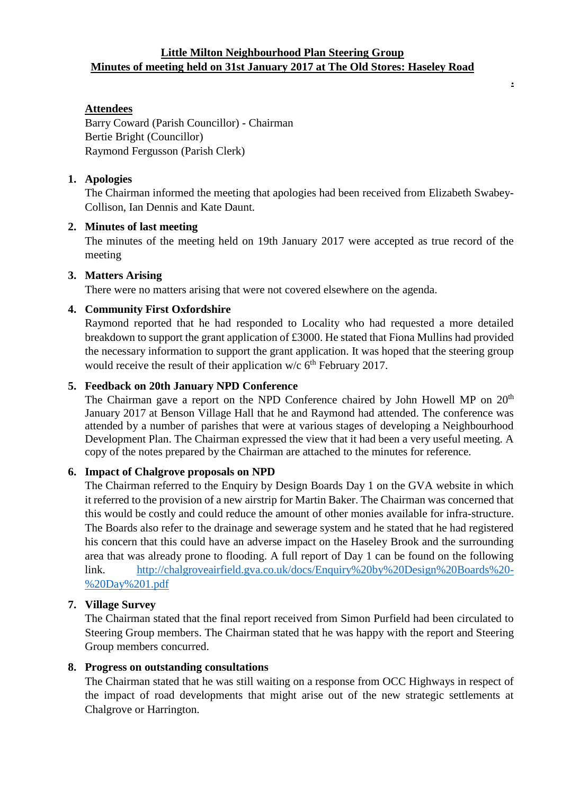## **Little Milton Neighbourhood Plan Steering Group Minutes of meeting held on 31st January 2017 at The Old Stores: Haseley Road**

**.**

# **Attendees**

Barry Coward (Parish Councillor) - Chairman Bertie Bright (Councillor) Raymond Fergusson (Parish Clerk)

### **1. Apologies**

The Chairman informed the meeting that apologies had been received from Elizabeth Swabey-Collison, Ian Dennis and Kate Daunt.

### **2. Minutes of last meeting**

The minutes of the meeting held on 19th January 2017 were accepted as true record of the meeting

## **3. Matters Arising**

There were no matters arising that were not covered elsewhere on the agenda.

## **4. Community First Oxfordshire**

Raymond reported that he had responded to Locality who had requested a more detailed breakdown to support the grant application of £3000. He stated that Fiona Mullins had provided the necessary information to support the grant application. It was hoped that the steering group would receive the result of their application w/c  $6<sup>th</sup>$  February 2017.

# **5. Feedback on 20th January NPD Conference**

The Chairman gave a report on the NPD Conference chaired by John Howell MP on  $20<sup>th</sup>$ January 2017 at Benson Village Hall that he and Raymond had attended. The conference was attended by a number of parishes that were at various stages of developing a Neighbourhood Development Plan. The Chairman expressed the view that it had been a very useful meeting. A copy of the notes prepared by the Chairman are attached to the minutes for reference.

### **6. Impact of Chalgrove proposals on NPD**

The Chairman referred to the Enquiry by Design Boards Day 1 on the GVA website in which it referred to the provision of a new airstrip for Martin Baker. The Chairman was concerned that this would be costly and could reduce the amount of other monies available for infra-structure. The Boards also refer to the drainage and sewerage system and he stated that he had registered his concern that this could have an adverse impact on the Haseley Brook and the surrounding area that was already prone to flooding. A full report of Day 1 can be found on the following link. [http://chalgroveairfield.gva.co.uk/docs/Enquiry%20by%20Design%20Boards%20-](http://chalgroveairfield.gva.co.uk/docs/Enquiry%20by%20Design%20Boards%20-%20Day%201.pdf) [%20Day%201.pdf](http://chalgroveairfield.gva.co.uk/docs/Enquiry%20by%20Design%20Boards%20-%20Day%201.pdf)

## **7. Village Survey**

The Chairman stated that the final report received from Simon Purfield had been circulated to Steering Group members. The Chairman stated that he was happy with the report and Steering Group members concurred.

### **8. Progress on outstanding consultations**

The Chairman stated that he was still waiting on a response from OCC Highways in respect of the impact of road developments that might arise out of the new strategic settlements at Chalgrove or Harrington.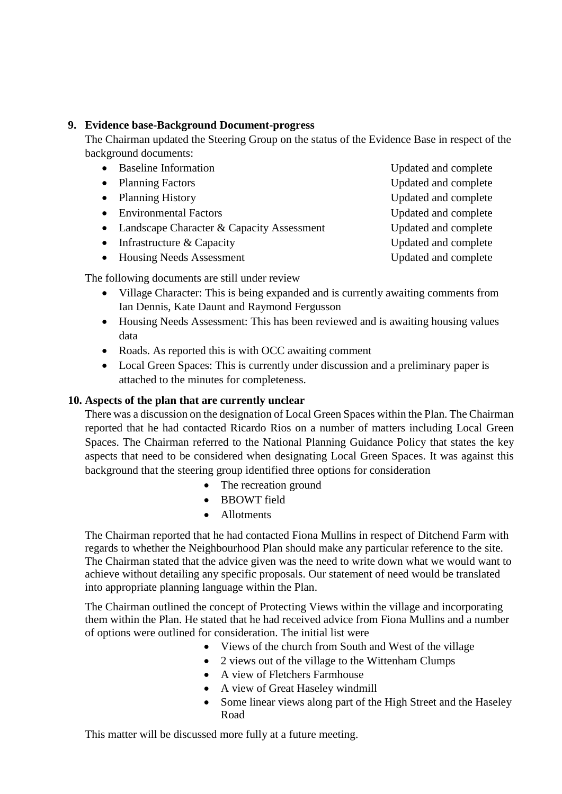### **9. Evidence base-Background Document-progress**

The Chairman updated the Steering Group on the status of the Evidence Base in respect of the background documents:

- 
- 
- 
- Environmental Factors Updated and complete
- Landscape Character & Capacity Assessment Updated and complete
- Infrastructure & Capacity Updated and complete
- Housing Needs Assessment **Leap Updated and complete**

The following documents are still under review

- Village Character: This is being expanded and is currently awaiting comments from Ian Dennis, Kate Daunt and Raymond Fergusson
- Housing Needs Assessment: This has been reviewed and is awaiting housing values data
- Roads. As reported this is with OCC awaiting comment
- Local Green Spaces: This is currently under discussion and a preliminary paper is attached to the minutes for completeness.

# **10. Aspects of the plan that are currently unclear**

There was a discussion on the designation of Local Green Spaces within the Plan. The Chairman reported that he had contacted Ricardo Rios on a number of matters including Local Green Spaces. The Chairman referred to the National Planning Guidance Policy that states the key aspects that need to be considered when designating Local Green Spaces. It was against this background that the steering group identified three options for consideration

- The recreation ground
- BBOWT field
- Allotments

The Chairman reported that he had contacted Fiona Mullins in respect of Ditchend Farm with regards to whether the Neighbourhood Plan should make any particular reference to the site. The Chairman stated that the advice given was the need to write down what we would want to achieve without detailing any specific proposals. Our statement of need would be translated into appropriate planning language within the Plan.

The Chairman outlined the concept of Protecting Views within the village and incorporating them within the Plan. He stated that he had received advice from Fiona Mullins and a number of options were outlined for consideration. The initial list were

- Views of the church from South and West of the village
- 2 views out of the village to the Wittenham Clumps
- A view of Fletchers Farmhouse
- A view of Great Haseley windmill
- Some linear views along part of the High Street and the Haseley Road

This matter will be discussed more fully at a future meeting.

- Baseline Information Updated and complete • Planning Factors Updated and complete • Planning History Updated and complete
	-